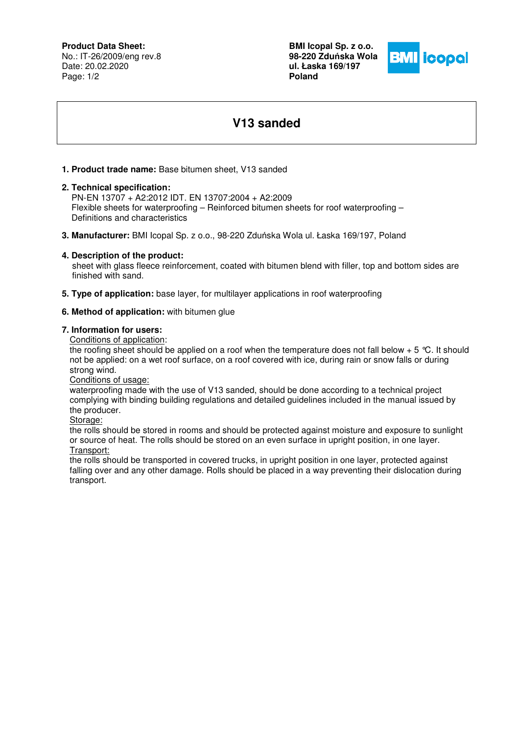# **Product Data Sheet:**

No.: IT-26/2009/eng rev.8 Date: 20.02.2020 Page: 1/2

**BMI Icopal Sp. z o.o. 98-220 Zdu**ń**ska Wola ul. Łaska 169/197 Poland** 



# **V13 sanded**

# **1. Product trade name:** Base bitumen sheet, V13 sanded

## **2. Technical specification:**

 PN-EN 13707 + A2:2012 IDT. EN 13707:2004 + A2:2009 Flexible sheets for waterproofing – Reinforced bitumen sheets for roof waterproofing – Definitions and characteristics

**3. Manufacturer:** BMI Icopal Sp. z o.o., 98-220 Zduńska Wola ul. Łaska 169/197, Poland

## **4. Description of the product:**

 sheet with glass fleece reinforcement, coated with bitumen blend with filler, top and bottom sides are finished with sand.

**5. Type of application:** base layer, for multilayer applications in roof waterproofing

#### **6. Method of application:** with bitumen glue

#### **7. Information for users:**

Conditions of application:

the roofing sheet should be applied on a roof when the temperature does not fall below  $+ 5 \degree C$ . It should not be applied: on a wet roof surface, on a roof covered with ice, during rain or snow falls or during strong wind.

Conditions of usage:

waterproofing made with the use of V13 sanded, should be done according to a technical project complying with binding building regulations and detailed guidelines included in the manual issued by the producer.

Storage:

the rolls should be stored in rooms and should be protected against moisture and exposure to sunlight or source of heat. The rolls should be stored on an even surface in upright position, in one layer. Transport:

the rolls should be transported in covered trucks, in upright position in one layer, protected against falling over and any other damage. Rolls should be placed in a way preventing their dislocation during transport.